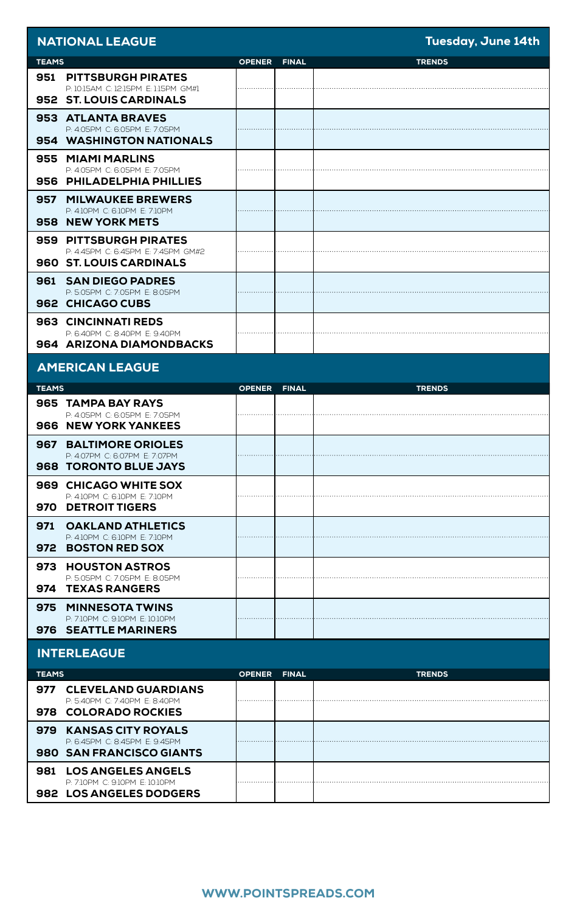| <b>NATIONAL LEAGUE</b>                                             |               |              | Tuesday, June 14th |
|--------------------------------------------------------------------|---------------|--------------|--------------------|
| <b>TEAMS</b>                                                       | <b>OPENER</b> | <b>FINAL</b> | <b>TRENDS</b>      |
| <b>951 PITTSBURGH PIRATES</b>                                      |               |              |                    |
| P: 10:15AM C: 12:15PM E: 1:15PM GM#1<br>952 ST. LOUIS CARDINALS    |               |              |                    |
| 953 ATLANTA BRAVES                                                 |               |              |                    |
| P: 4:05PM C: 6:05PM E: 7:05PM                                      |               |              |                    |
| 954 WASHINGTON NATIONALS                                           |               |              |                    |
| 955 MIAMI MARLINS<br>P: 4:05PM C: 6:05PM E: 7:05PM                 |               |              |                    |
| 956 PHILADELPHIA PHILLIES                                          |               |              |                    |
| 957<br><b>MILWAUKEE BREWERS</b>                                    |               |              |                    |
| P: 4:10PM C: 6:10PM E: 7:10PM<br>958 NEW YORK METS                 |               |              |                    |
|                                                                    |               |              |                    |
| 959 PITTSBURGH PIRATES<br>P: 4:45PM C: 6:45PM E: 7:45PM GM#2       |               |              |                    |
| 960 ST. LOUIS CARDINALS                                            |               |              |                    |
| 961<br><b>SAN DIEGO PADRES</b>                                     |               |              |                    |
| P: 5:05PM C: 7:05PM E: 8:05PM<br>962 CHICAGO CUBS                  |               |              |                    |
|                                                                    |               |              |                    |
| 963 CINCINNATI REDS<br>P: 6:40PM C: 8:40PM E: 9:40PM               |               |              |                    |
| 964 ARIZONA DIAMONDBACKS                                           |               |              |                    |
| <b>AMERICAN LEAGUE</b>                                             |               |              |                    |
| <b>TEAMS</b>                                                       | <b>OPENER</b> | <b>FINAL</b> | <b>TRENDS</b>      |
| 965 TAMPA BAY RAYS                                                 |               |              |                    |
| P: 4:05PM C: 6:05PM E: 7:05PM<br><b>966 NEW YORK YANKEES</b>       |               |              |                    |
| <b>967 BALTIMORE ORIOLES</b>                                       |               |              |                    |
|                                                                    |               |              |                    |
| P: 4:07PM C: 6:07PM E: 7:07PM                                      |               |              |                    |
| <b>968 TORONTO BLUE JAYS</b>                                       |               |              |                    |
| 969 CHICAGO WHITE SOX<br>P: 4:10PM C: 6:10PM E: 7:10PM             |               |              |                    |
| 970 DETROIT TIGERS                                                 |               |              |                    |
| <b>OAKLAND ATHLETICS</b><br>971                                    |               |              |                    |
| P: 4:10PM C: 6:10PM E: 7:10PM<br>972                               |               |              |                    |
| <b>BOSTON RED SOX</b>                                              |               |              |                    |
| 973 HOUSTON ASTROS<br>P: 5:05PM C: 7:05PM E: 8:05PM                |               |              |                    |
| 974 TEXAS RANGERS                                                  |               |              |                    |
| 975<br><b>MINNESOTA TWINS</b>                                      |               |              |                    |
| P: 7:10PM C: 9:10PM E: 10:10PM<br>976 SEATTLE MARINERS             |               |              |                    |
| <b>INTERLEAGUE</b>                                                 |               |              |                    |
| <b>TEAMS</b>                                                       | <b>OPENER</b> | <b>FINAL</b> | <b>TRENDS</b>      |
| 977<br><b>CLEVELAND GUARDIANS</b>                                  |               |              |                    |
| P: 5:40PM C: 7:40PM E: 8:40PM<br>978 COLORADO ROCKIES              |               |              |                    |
| 979<br><b>KANSAS CITY ROYALS</b>                                   |               |              |                    |
| P: 6:45PM C: 8:45PM E: 9:45PM                                      |               |              |                    |
| 980 SAN FRANCISCO GIANTS                                           |               |              |                    |
| <b>LOS ANGELES ANGELS</b><br>981<br>P: 7:10PM C: 9:10PM E: 10:10PM |               |              |                    |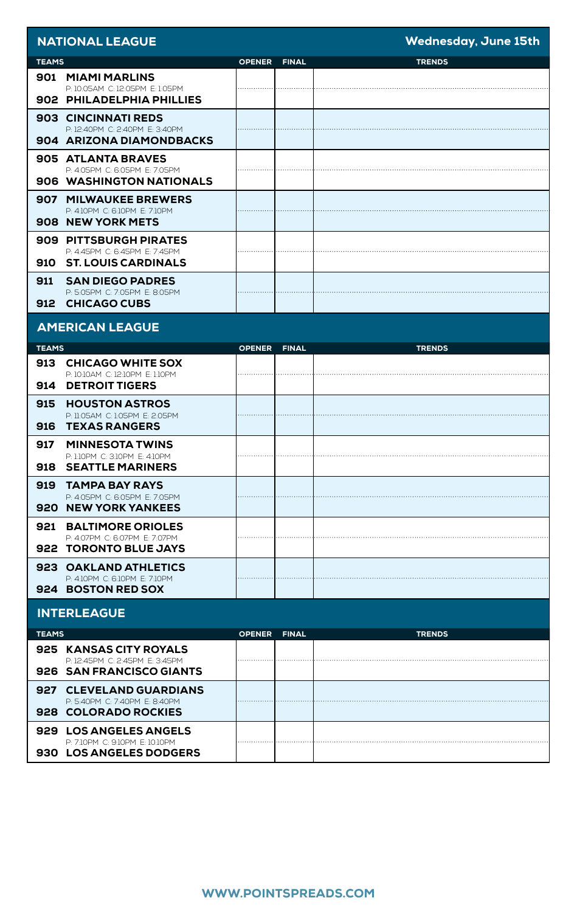| <b>NATIONAL LEAGUE</b>                                             |               |              | <b>Wednesday, June 15th</b> |
|--------------------------------------------------------------------|---------------|--------------|-----------------------------|
| <b>TEAMS</b>                                                       | <b>OPENER</b> | <b>FINAL</b> | <b>TRENDS</b>               |
| 901 MIAMI MARLINS                                                  |               |              |                             |
| P: 10:05AM C: 12:05PM E: 1:05PM<br>902 PHILADELPHIA PHILLIES       |               |              |                             |
| 903 CINCINNATI REDS                                                |               |              |                             |
| P: 12:40PM C: 2:40PM E: 3:40PM<br>904 ARIZONA DIAMONDBACKS         |               |              |                             |
| 905 ATLANTA BRAVES                                                 |               |              |                             |
| P: 4:05PM C: 6:05PM E: 7:05PM<br>906 WASHINGTON NATIONALS          |               |              |                             |
| <b>907 MILWAUKEE BREWERS</b>                                       |               |              |                             |
| P: 4:10PM C: 6:10PM E: 7:10PM<br>908 NEW YORK METS                 |               |              |                             |
|                                                                    |               |              |                             |
| 909 PITTSBURGH PIRATES<br>P: 4:45PM C: 6:45PM E: 7:45PM            |               |              |                             |
| 910 ST. LOUIS CARDINALS                                            |               |              |                             |
| 911<br><b>SAN DIEGO PADRES</b>                                     |               |              |                             |
| P: 5:05PM C: 7:05PM E: 8:05PM<br>912<br><b>CHICAGO CUBS</b>        |               |              |                             |
|                                                                    |               |              |                             |
| <b>AMERICAN LEAGUE</b>                                             |               |              |                             |
| <b>TEAMS</b>                                                       | <b>OPENER</b> | <b>FINAL</b> | <b>TRENDS</b>               |
| 913<br><b>CHICAGO WHITE SOX</b>                                    |               |              |                             |
| P: 10:10AM C: 12:10PM E: 1:10PM<br>914<br><b>DETROIT TIGERS</b>    |               |              |                             |
| 915<br><b>HOUSTON ASTROS</b>                                       |               |              |                             |
| P: 11:05AM C: 1:05PM E: 2:05PM<br>916<br><b>TEXAS RANGERS</b>      |               |              |                             |
| 917<br><b>MINNESOTA TWINS</b>                                      |               |              |                             |
| P: 1:10PM C: 3:10PM E: 4:10PM                                      |               |              |                             |
| 918<br><b>SEATTLE MARINERS</b>                                     |               |              |                             |
| 919<br><b>TAMPA BAY RAYS</b><br>P: 4:05PM C: 6:05PM E: 7:05PM      |               |              |                             |
| 920 NEW YORK YANKEES                                               |               |              |                             |
| 921<br><b>BALTIMORE ORIOLES</b>                                    |               |              |                             |
| P: 4:07PM C: 6:07PM E: 7:07PM<br>922 TORONTO BLUE JAYS             |               |              |                             |
| 923 OAKLAND ATHLETICS                                              |               |              |                             |
| P: 4:10PM C: 6:10PM E: 7:10PM                                      |               |              |                             |
| 924 BOSTON RED SOX                                                 |               |              |                             |
| <b>INTERLEAGUE</b>                                                 |               |              |                             |
| <b>TEAMS</b>                                                       | <b>OPENER</b> | <b>FINAL</b> | <b>TRENDS</b>               |
| 925 KANSAS CITY ROYALS<br>P: 12:45PM C: 2:45PM E: 3:45PM           |               |              |                             |
| 926 SAN FRANCISCO GIANTS                                           |               |              |                             |
| 927<br><b>CLEVELAND GUARDIANS</b><br>P: 5:40PM C: 7:40PM E: 8:40PM |               |              |                             |
| <b>928 COLORADO ROCKIES</b>                                        |               |              |                             |
| 929 LOS ANGELES ANGELS                                             |               |              |                             |
| P: 7:10PM C: 9:10PM E: 10:10PM<br>930 LOS ANGELES DODGERS          |               |              |                             |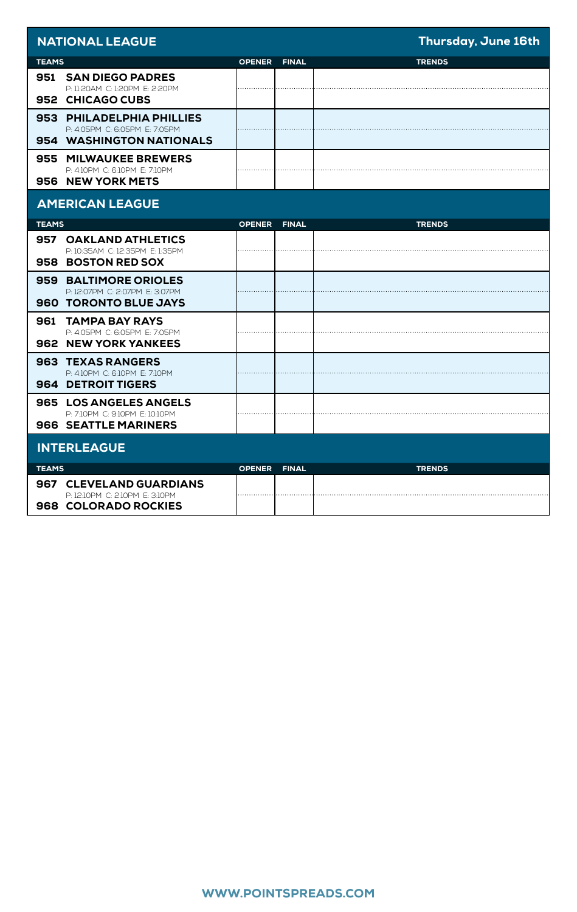| <b>NATIONAL LEAGUE</b>                                                                          |               |              | Thursday, June 16th |
|-------------------------------------------------------------------------------------------------|---------------|--------------|---------------------|
| <b>TEAMS</b>                                                                                    | <b>OPENER</b> | <b>FINAL</b> | <b>TRENDS</b>       |
| 951 SAN DIEGO PADRES<br>P: 11:20AM C: 1:20PM E: 2:20PM<br>952 CHICAGO CUBS                      |               |              |                     |
| 953 PHILADELPHIA PHILLIES<br>P-4-05PM C-6-05PM F-7-05PM<br>954 WASHINGTON NATIONALS             |               |              |                     |
| 955 MILWAUKEE BREWERS<br>P: 4:10PM C: 6:10PM E: 7:10PM<br>956 NEW YORK METS                     |               |              |                     |
| <b>AMERICAN LEAGUE</b>                                                                          |               |              |                     |
| <b>TEAMS</b>                                                                                    | <b>OPENER</b> | <b>FINAL</b> | <b>TRENDS</b>       |
| 957 OAKLAND ATHLETICS<br>P: 10:35AM C: 12:35PM E: 1:35PM<br>958 BOSTON RED SOX                  |               |              |                     |
| 959 BALTIMORE ORIOLES<br>P: 12:07PM C: 2:07PM E: 3:07PM<br><b>960 TORONTO BLUE JAYS</b>         |               |              |                     |
| 961<br><b>TAMPA BAY RAYS</b><br>P: 4:05PM C: 6:05PM E: 7:05PM<br><b>962 NEW YORK YANKEES</b>    |               |              |                     |
| 963 TEXAS RANGERS<br>P: 4:10PM C: 6:10PM E: 7:10PM<br>964 DETROIT TIGERS                        |               |              |                     |
| <b>965 LOS ANGELES ANGELS</b><br>P: 7:10PM C: 9:10PM E: 10:10PM<br><b>966 SEATTLE MARINERS</b>  |               |              |                     |
| <b>INTERLEAGUE</b>                                                                              |               |              |                     |
| <b>TEAMS</b>                                                                                    | <b>OPENER</b> | <b>FINAL</b> | <b>TRENDS</b>       |
| <b>967 CLEVELAND GUARDIANS</b><br>P: 12:10PM C: 2:10PM E: 3:10PM<br><b>968 COLORADO ROCKIES</b> |               |              |                     |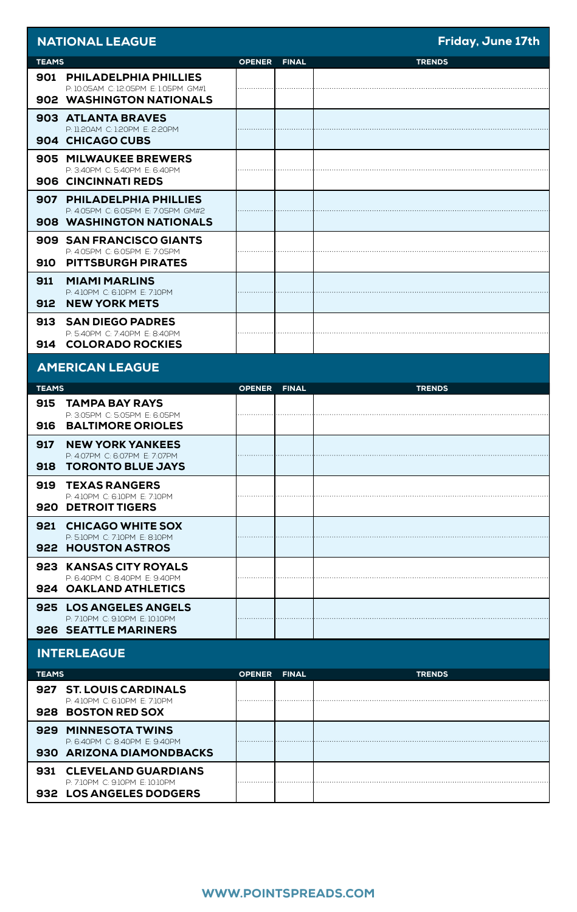|              | <b>NATIONAL LEAGUE</b>                                            |               |              | Friday, June 17th |
|--------------|-------------------------------------------------------------------|---------------|--------------|-------------------|
| <b>TEAMS</b> |                                                                   | <b>OPENER</b> | <b>FINAL</b> | <b>TRENDS</b>     |
|              | 901 PHILADELPHIA PHILLIES<br>P: 10:05AM C: 12:05PM E: 1:05PM GM#1 |               |              |                   |
|              | 902 WASHINGTON NATIONALS                                          |               |              |                   |
|              | 903 ATLANTA BRAVES                                                |               |              |                   |
|              | P: 11:20AM C: 1:20PM E: 2:20PM<br>904 CHICAGO CUBS                |               |              |                   |
|              | 905 MILWAUKEE BREWERS                                             |               |              |                   |
|              | P: 3:40PM C: 5:40PM E: 6:40PM<br>906 CINCINNATI REDS              |               |              |                   |
|              | 907 PHILADELPHIA PHILLIES                                         |               |              |                   |
|              | P: 4:05PM C: 6:05PM E: 7:05PM GM#2<br>908 WASHINGTON NATIONALS    |               |              |                   |
|              | 909 SAN FRANCISCO GIANTS                                          |               |              |                   |
| 910          | P: 4:05PM C: 6:05PM E: 7:05PM<br><b>PITTSBURGH PIRATES</b>        |               |              |                   |
| 911          | <b>MIAMI MARLINS</b>                                              |               |              |                   |
| 912          | P: 4:10PM C: 6:10PM E: 7:10PM<br><b>NEW YORK METS</b>             |               |              |                   |
| 913          | <b>SAN DIEGO PADRES</b>                                           |               |              |                   |
| 914          | P: 5:40PM C: 7:40PM E: 8:40PM<br><b>COLORADO ROCKIES</b>          |               |              |                   |
|              | <b>AMERICAN LEAGUE</b>                                            |               |              |                   |
| <b>TEAMS</b> |                                                                   | <b>OPENER</b> | <b>FINAL</b> | <b>TRENDS</b>     |
| 915          | <b>TAMPA BAY RAYS</b><br>P: 3:05PM C: 5:05PM E: 6:05PM            |               |              |                   |
|              |                                                                   |               |              |                   |
| 916          | <b>BALTIMORE ORIOLES</b>                                          |               |              |                   |
| 917          | <b>NEW YORK YANKEES</b>                                           |               |              |                   |
| 918          | P: 4:07PM C: 6:07PM E: 7:07PM<br><b>TORONTO BLUE JAYS</b>         |               |              |                   |
| 919          | <b>TEXAS RANGERS</b>                                              |               |              |                   |
|              | P: 4:10PM C: 6:10PM E: 7:10PM<br>920 DETROIT TIGERS               |               |              |                   |
| 921          | <b>CHICAGO WHITE SOX</b>                                          |               |              |                   |
|              | P: 5:10PM C: 7:10PM E: 8:10PM<br>922 HOUSTON ASTROS               |               |              |                   |
|              | 923   KANSAS CITY ROYALS                                          |               |              |                   |
|              | P: 6:40PM C: 8:40PM E: 9:40PM<br>924 OAKLAND ATHLETICS            |               |              |                   |
|              | 925 LOS ANGELES ANGELS                                            |               |              |                   |
|              | P: 7:10PM C: 9:10PM E: 10:10PM<br><b>926 SEATTLE MARINERS</b>     |               |              |                   |
|              | <b>INTERLEAGUE</b>                                                |               |              |                   |
| <b>TEAMS</b> |                                                                   | <b>OPENER</b> | <b>FINAL</b> | <b>TRENDS</b>     |
| 927          | <b>ST. LOUIS CARDINALS</b><br>P: 4:10PM C: 6:10PM E: 7:10PM       |               |              |                   |
|              | 928 BOSTON RED SOX                                                |               |              |                   |
|              | 929 MINNESOTA TWINS                                               |               |              |                   |
|              | P: 6:40PM C: 8:40PM E: 9:40PM<br>930   ARIZONA DIAMONDBACKS       |               |              |                   |
| 931          | <b>CLEVELAND GUARDIANS</b><br>P: 7:10PM C: 9:10PM E: 10:10PM      |               |              |                   |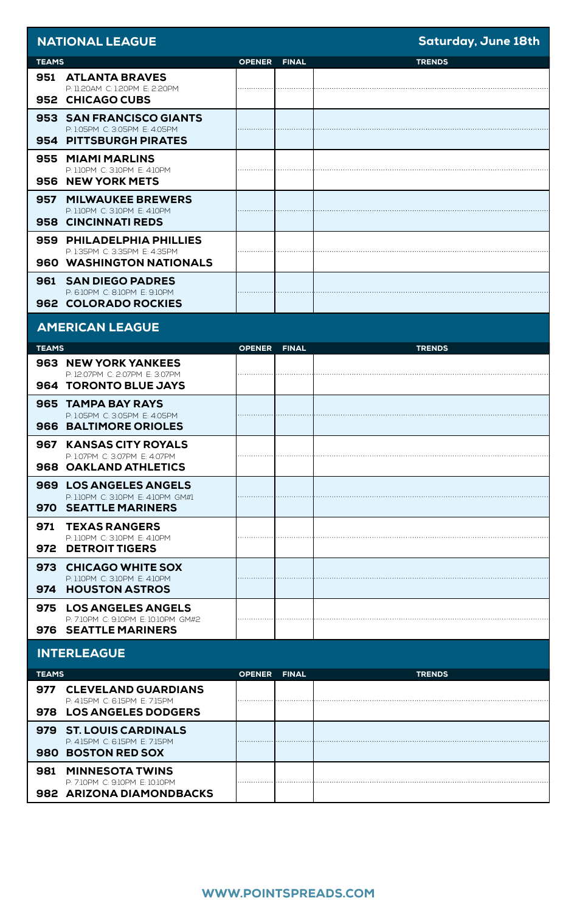| <b>NATIONAL LEAGUE</b>                                                                          |               |              | <b>Saturday, June 18th</b> |  |
|-------------------------------------------------------------------------------------------------|---------------|--------------|----------------------------|--|
| <b>TEAMS</b>                                                                                    | <b>OPENER</b> | <b>FINAL</b> | <b>TRENDS</b>              |  |
| 951 ATLANTA BRAVES<br>P: 11:20AM C: 1:20PM E: 2:20PM<br>952 CHICAGO CUBS                        |               |              |                            |  |
| 953 SAN FRANCISCO GIANTS<br>P: 1:05PM C: 3:05PM E: 4:05PM<br>954 PITTSBURGH PIRATES             |               |              |                            |  |
| 955 MIAMI MARLINS<br>P: 1:10PM C: 3:10PM E: 4:10PM<br>956 NEW YORK METS                         |               |              |                            |  |
| 957<br><b>MILWAUKEE BREWERS</b><br>P: 1:10PM C: 3:10PM E: 4:10PM<br>958 CINCINNATI REDS         |               |              |                            |  |
| 959 PHILADELPHIA PHILLIES<br>P: 1:35PM C: 3:35PM E: 4:35PM<br><b>960 WASHINGTON NATIONALS</b>   |               |              |                            |  |
| 961<br><b>SAN DIEGO PADRES</b><br>P: 6:10PM C: 8:10PM E: 9:10PM<br>962 COLORADO ROCKIES         |               |              |                            |  |
| <b>AMERICAN LEAGUE</b>                                                                          |               |              |                            |  |
| <b>TEAMS</b>                                                                                    | <b>OPENER</b> | <b>FINAL</b> | <b>TRENDS</b>              |  |
| <b>963 NEW YORK YANKEES</b><br>P: 12:07PM C: 2:07PM E: 3:07PM<br><b>964 TORONTO BLUE JAYS</b>   |               |              |                            |  |
| 965 TAMPA BAY RAYS<br>P: 1:05PM C: 3:05PM E: 4:05PM<br>966 BALTIMORE ORIOLES                    |               |              |                            |  |
| 967 KANSAS CITY ROYALS<br>P: 1:07PM C: 3:07PM E: 4:07PM<br>968 OAKLAND ATHLETICS                |               |              |                            |  |
| 969 LOS ANGELES ANGELS<br>P: 1:10PM C: 3:10PM E: 4:10PM GM#1<br>970<br><b>SEATTLE MARINERS</b>  |               |              |                            |  |
| 971<br><b>TEXAS RANGERS</b><br>P: 1:10PM C: 3:10PM E: 4:10PM<br>972 DETROIT TIGERS              |               |              |                            |  |
| <b>CHICAGO WHITE SOX</b><br>973<br>P: 1:10PM C: 3:10PM E: 4:10PM<br>974 HOUSTON ASTROS          |               |              |                            |  |
| <b>LOS ANGELES ANGELS</b><br>975<br>P: 7:10PM C: 9:10PM E: 10:10PM GM#2<br>976 SEATTLE MARINERS |               |              |                            |  |
| <b>INTERLEAGUE</b>                                                                              |               |              |                            |  |
| <b>TEAMS</b>                                                                                    | <b>OPENER</b> | <b>FINAL</b> | <b>TRENDS</b>              |  |
| 977<br><b>CLEVELAND GUARDIANS</b><br>P: 4:15PM C: 6:15PM E: 7:15PM<br>978 LOS ANGELES DODGERS   |               |              |                            |  |
| 979<br><b>ST. LOUIS CARDINALS</b><br>P: 4:15PM C: 6:15PM E: 7:15PM<br>980 BOSTON RED SOX        |               |              |                            |  |
| <b>MINNESOTA TWINS</b><br>981<br>P: 7:10PM C: 9:10PM E: 10:10PM<br>982 ARIZONA DIAMONDBACKS     |               |              |                            |  |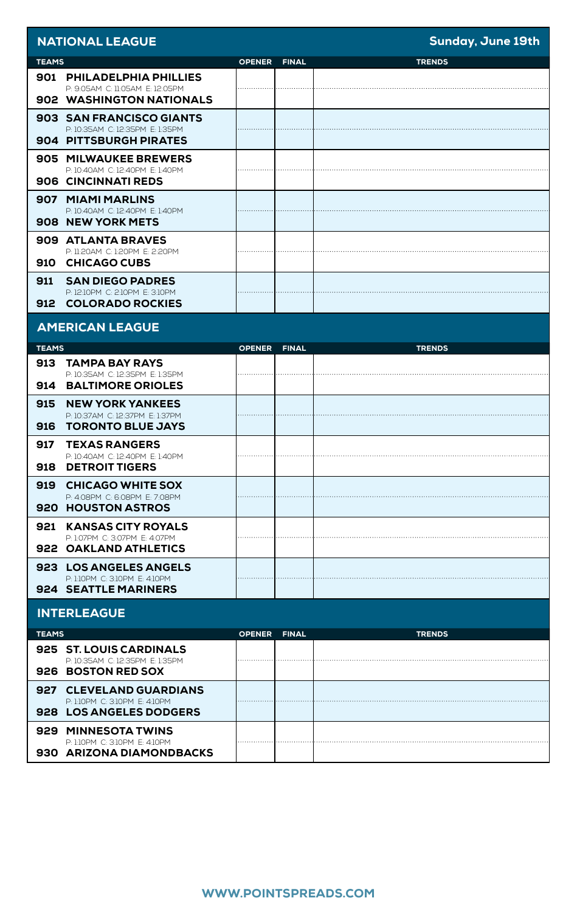|              | <b>NATIONAL LEAGUE</b>                                                                 |               |              | Sunday, June 19th |
|--------------|----------------------------------------------------------------------------------------|---------------|--------------|-------------------|
| <b>TEAMS</b> |                                                                                        | <b>OPENER</b> | <b>FINAL</b> | <b>TRENDS</b>     |
|              | 901 PHILADELPHIA PHILLIES                                                              |               |              |                   |
|              | P: 9:05AM C: 11:05AM E: 12:05PM<br>902 WASHINGTON NATIONALS                            |               |              |                   |
|              | 903 SAN FRANCISCO GIANTS                                                               |               |              |                   |
|              | P: 10:35AM C: 12:35PM E: 1:35PM<br>904   PITTSBURGH PIRATES                            |               |              |                   |
|              | <b>905 MILWAUKEE BREWERS</b><br>P: 10:40AM C: 12:40PM E: 1:40PM                        |               |              |                   |
|              | 906 CINCINNATI REDS                                                                    |               |              |                   |
|              | 907 MIAMI MARLINS<br>P: 10:40AM C: 12:40PM E: 1:40PM                                   |               |              |                   |
|              | 908 NEW YORK METS                                                                      |               |              |                   |
|              | 909 ATLANTA BRAVES<br>P: 11:20AM C: 1:20PM E: 2:20PM                                   |               |              |                   |
| 910          | <b>CHICAGO CUBS</b>                                                                    |               |              |                   |
| 911          | <b>SAN DIEGO PADRES</b><br>P: 12:10PM C: 2:10PM E: 3:10PM                              |               |              |                   |
| 912          | <b>COLORADO ROCKIES</b>                                                                |               |              |                   |
|              | <b>AMERICAN LEAGUE</b>                                                                 |               |              |                   |
| <b>TEAMS</b> |                                                                                        | <b>OPENER</b> | <b>FINAL</b> | <b>TRENDS</b>     |
| 913          | <b>TAMPA BAY RAYS</b><br>P: 10:35AM C: 12:35PM E: 1:35PM                               |               |              |                   |
| 914          | <b>BALTIMORE ORIOLES</b>                                                               |               |              |                   |
| 915<br>916   | <b>NEW YORK YANKEES</b><br>P: 10:37AM C: 12:37PM E: 1:37PM<br><b>TORONTO BLUE JAYS</b> |               |              |                   |
| 917          | <b>TEXAS RANGERS</b>                                                                   |               |              |                   |
| 918          | P: 10:40AM C: 12:40PM E: 1:40PM<br><b>DETROIT TIGERS</b>                               |               |              |                   |
| 919          | <b>CHICAGO WHITE SOX</b>                                                               |               |              |                   |
|              | P: 4:08PM C: 6:08PM E: 7:08PM<br><b>920 HOUSTON ASTROS</b>                             |               |              |                   |
| 921          | <b>KANSAS CITY ROYALS</b>                                                              |               |              |                   |
|              | P: 1:07PM C: 3:07PM E: 4:07PM<br>922 OAKLAND ATHLETICS                                 |               |              |                   |
|              | <b>923 LOS ANGELES ANGELS</b>                                                          |               |              |                   |
|              | P: 1:10PM C: 3:10PM E: 4:10PM<br><b>924 SEATTLE MARINERS</b>                           |               |              |                   |
|              | <b>INTERLEAGUE</b>                                                                     |               |              |                   |
| <b>TEAMS</b> |                                                                                        | <b>OPENER</b> | <b>FINAL</b> | <b>TRENDS</b>     |
|              | <b>925 ST. LOUIS CARDINALS</b><br>P: 10:35AM C: 12:35PM E: 1:35PM                      |               |              |                   |
|              | 926 BOSTON RED SOX                                                                     |               |              |                   |
| 927          | <b>CLEVELAND GUARDIANS</b><br>P: 1:10PM C: 3:10PM E: 4:10PM                            |               |              |                   |
|              | 928 LOS ANGELES DODGERS                                                                |               |              |                   |
| 929          | <b>MINNESOTA TWINS</b><br>P: 1:10PM C: 3:10PM E: 4:10PM                                |               |              |                   |
|              | 930   ARIZONA DIAMONDBACKS                                                             |               |              |                   |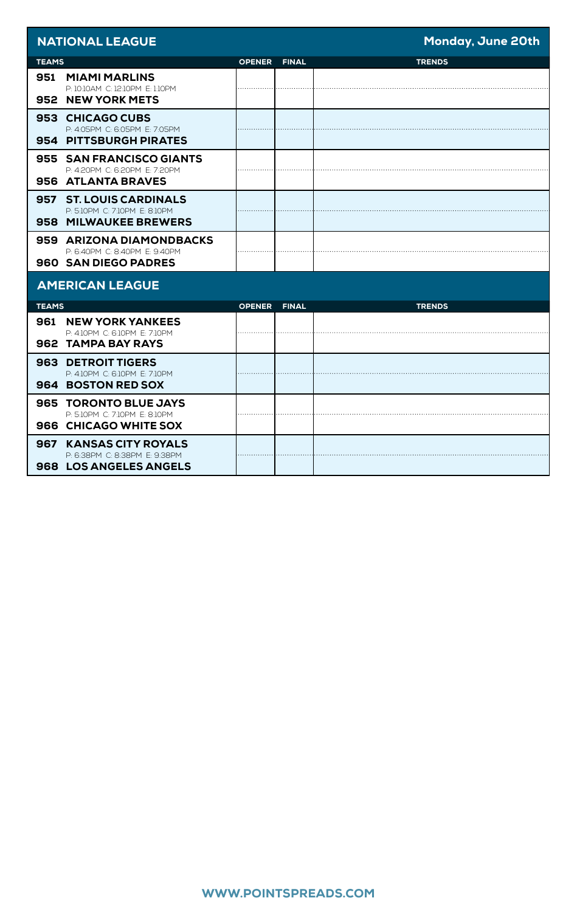| <b>NATIONAL LEAGUE</b>                                                                   |               |              | Monday, June 20th |
|------------------------------------------------------------------------------------------|---------------|--------------|-------------------|
| <b>TEAMS</b>                                                                             | <b>OPENER</b> | <b>FINAL</b> | <b>TRENDS</b>     |
| 951<br><b>MIAMI MARLINS</b><br>P: 10:10AM C: 12:10PM E: 1:10PM<br>952 NEW YORK METS      |               |              |                   |
| 953 CHICAGO CUBS<br>P-4-05PM C-6-05PM F-7-05PM<br>954 PITTSBURGH PIRATES                 |               |              |                   |
| 955 SAN FRANCISCO GIANTS<br>P: 4:20PM C: 6:20PM E: 7:20PM<br>956 ATLANTA BRAVES          |               |              |                   |
| 957 ST. LOUIS CARDINALS<br>P: 5:10PM C: 7:10PM E: 8:10PM<br>958 MILWAUKEE BREWERS        |               |              |                   |
| 959 ARIZONA DIAMONDBACKS<br>P-6-40PM C-8-40PM F-9-40PM<br>960 SAN DIEGO PADRES           |               |              |                   |
| <b>AMERICAN LEAGUE</b>                                                                   |               |              |                   |
| <b>TEAMS</b>                                                                             | <b>OPENER</b> | <b>FINAL</b> | <b>TRENDS</b>     |
| <b>961 NEW YORK YANKEES</b><br>P: 4:10PM C: 6:10PM E: 7:10PM<br>962 TAMPA BAY RAYS       |               |              |                   |
| <b>963 DETROIT TIGERS</b><br>P: 4:10PM C: 6:10PM E: 7:10PM<br>964 BOSTON RED SOX         |               |              |                   |
| 965 TORONTO BLUE JAYS<br>P: 5:10PM C: 7:10PM E: 8:10PM<br>966 CHICAGO WHITE SOX          |               |              |                   |
| 967 KANSAS CITY ROYALS<br>P: 6:38PM C: 8:38PM E: 9:38PM<br><b>968 LOS ANGELES ANGELS</b> |               |              |                   |